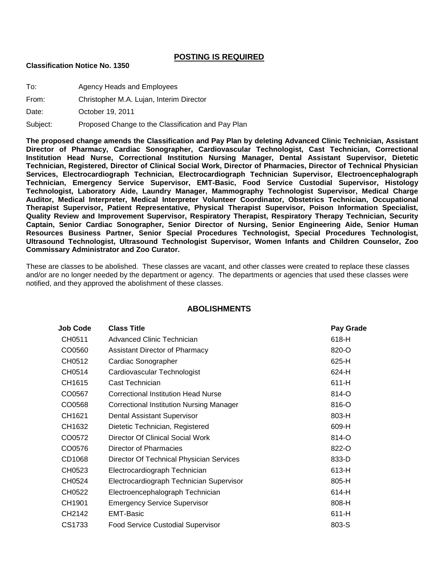## **POSTING IS REQUIRED**

## **Classification Notice No. 1350**

To: Agency Heads and Employees

From: Christopher M.A. Lujan, Interim Director

Date: **October 19, 2011** 

Subject: Proposed Change to the Classification and Pay Plan

**The proposed change amends the Classification and Pay Plan by deleting Advanced Clinic Technician, Assistant Director of Pharmacy, Cardiac Sonographer, Cardiovascular Technologist, Cast Technician, Correctional Institution Head Nurse, Correctional Institution Nursing Manager, Dental Assistant Supervisor, Dietetic Technician, Registered, Director of Clinical Social Work, Director of Pharmacies, Director of Technical Physician Services, Electrocardiograph Technician, Electrocardiograph Technician Supervisor, Electroencephalograph Technician, Emergency Service Supervisor, EMT-Basic, Food Service Custodial Supervisor, Histology Technologist, Laboratory Aide, Laundry Manager, Mammography Technologist Supervisor, Medical Charge Auditor, Medical Interpreter, Medical Interpreter Volunteer Coordinator, Obstetrics Technician, Occupational Therapist Supervisor, Patient Representative, Physical Therapist Supervisor, Poison Information Specialist, Quality Review and Improvement Supervisor, Respiratory Therapist, Respiratory Therapy Technician, Security Captain, Senior Cardiac Sonographer, Senior Director of Nursing, Senior Engineering Aide, Senior Human Resources Business Partner, Senior Special Procedures Technologist, Special Procedures Technologist, Ultrasound Technologist, Ultrasound Technologist Supervisor, Women Infants and Children Counselor, Zoo Commissary Administrator and Zoo Curator.**

These are classes to be abolished. These classes are vacant, and other classes were created to replace these classes and/or are no longer needed by the department or agency. The departments or agencies that used these classes were notified, and they approved the abolishment of these classes.

| Job Code | <b>Class Title</b>                              | Pay Grade |
|----------|-------------------------------------------------|-----------|
| CH0511   | Advanced Clinic Technician                      | 618-H     |
| CO0560   | <b>Assistant Director of Pharmacy</b>           | 820-O     |
| CH0512   | Cardiac Sonographer                             | 625-H     |
| CH0514   | Cardiovascular Technologist                     | 624-H     |
| CH1615   | Cast Technician                                 | 611-H     |
| CO0567   | <b>Correctional Institution Head Nurse</b>      | 814-O     |
| CO0568   | <b>Correctional Institution Nursing Manager</b> | 816-O     |
| CH1621   | Dental Assistant Supervisor                     | 803-H     |
| CH1632   | Dietetic Technician, Registered                 | 609-H     |
| CO0572   | Director Of Clinical Social Work                | 814-O     |
| CO0576   | Director of Pharmacies                          | 822-O     |
| CD1068   | Director Of Technical Physician Services        | 833-D     |
| CH0523   | Electrocardiograph Technician                   | 613-H     |
| CH0524   | Electrocardiograph Technician Supervisor        | 805-H     |
| CH0522   | Electroencephalograph Technician                | 614-H     |
| CH1901   | <b>Emergency Service Supervisor</b>             | 808-H     |
| CH2142   | <b>EMT-Basic</b>                                | 611-H     |
| CS1733   | Food Service Custodial Supervisor               | 803-S     |

## **ABOLISHMENTS**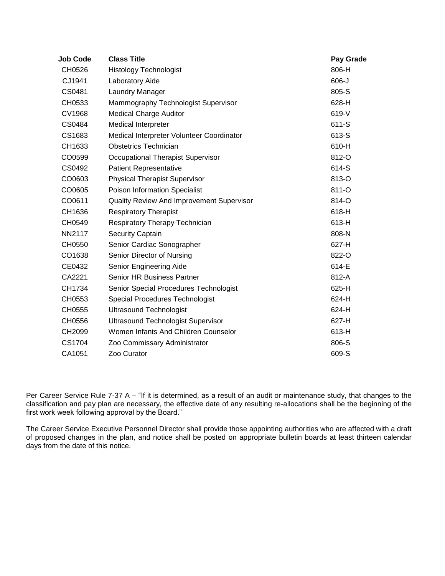| <b>Job Code</b> | <b>Class Title</b>                        | Pay Grade |
|-----------------|-------------------------------------------|-----------|
| CH0526          | <b>Histology Technologist</b>             | 806-H     |
| CJ1941          | Laboratory Aide                           | $606 - J$ |
| CS0481          | Laundry Manager                           | 805-S     |
| CH0533          | Mammography Technologist Supervisor       | 628-H     |
| <b>CV1968</b>   | <b>Medical Charge Auditor</b>             | 619-V     |
| CS0484          | Medical Interpreter                       | 611-S     |
| CS1683          | Medical Interpreter Volunteer Coordinator | 613-S     |
| CH1633          | <b>Obstetrics Technician</b>              | 610-H     |
| CO0599          | Occupational Therapist Supervisor         | 812-O     |
| CS0492          | <b>Patient Representative</b>             | 614-S     |
| CO0603          | <b>Physical Therapist Supervisor</b>      | 813-O     |
| CO0605          | Poison Information Specialist             | 811-O     |
| CO0611          | Quality Review And Improvement Supervisor | 814-O     |
| CH1636          | <b>Respiratory Therapist</b>              | 618-H     |
| CH0549          | Respiratory Therapy Technician            | 613-H     |
| <b>NN2117</b>   | Security Captain                          | 808-N     |
| CH0550          | Senior Cardiac Sonographer                | 627-H     |
| CO1638          | Senior Director of Nursing                | 822-O     |
| CE0432          | Senior Engineering Aide                   | 614-E     |
| CA2221          | Senior HR Business Partner                | 812-A     |
| CH1734          | Senior Special Procedures Technologist    | 625-H     |
| CH0553          | <b>Special Procedures Technologist</b>    | 624-H     |
| CH0555          | <b>Ultrasound Technologist</b>            | 624-H     |
| CH0556          | <b>Ultrasound Technologist Supervisor</b> | 627-H     |
| CH2099          | Women Infants And Children Counselor      | 613-H     |
| CS1704          | Zoo Commissary Administrator              | 806-S     |
| CA1051          | Zoo Curator                               | 609-S     |

Per Career Service Rule 7-37 A – "If it is determined, as a result of an audit or maintenance study, that changes to the classification and pay plan are necessary, the effective date of any resulting re-allocations shall be the beginning of the first work week following approval by the Board."

The Career Service Executive Personnel Director shall provide those appointing authorities who are affected with a draft of proposed changes in the plan, and notice shall be posted on appropriate bulletin boards at least thirteen calendar days from the date of this notice.